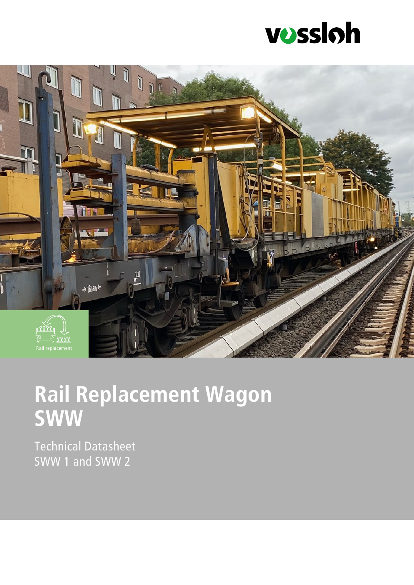



# **Rail Replacement Wagon SWW**

Technical Datasheet SWW 1 and SWW 2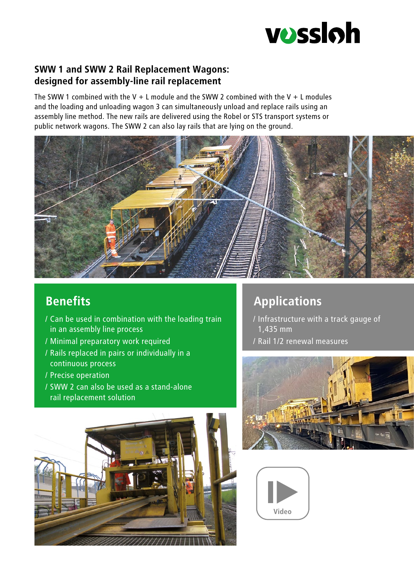

#### **SWW 1 and SWW 2 Rail Replacement Wagons: designed for assembly-line rail replacement**

The SWW 1 combined with the V  $+$  L module and the SWW 2 combined with the V  $+$  L modules and the loading and unloading wagon 3 can simultaneously unload and replace rails using an assembly line method. The new rails are delivered using the Robel or STS transport systems or public network wagons. The SWW 2 can also lay rails that are lying on the ground.



# **Benefits**

- / Can be used in combination with the loading train in an assembly line process
- / Minimal preparatory work required
- / Rails replaced in pairs or individually in a continuous process
- / Precise operation
- / SWW 2 can also be used as a stand-alone rail replacement solution



# **Applications**

- / Infrastructure with a track gauge of 1,435 mm
- / Rail 1/2 renewal measures



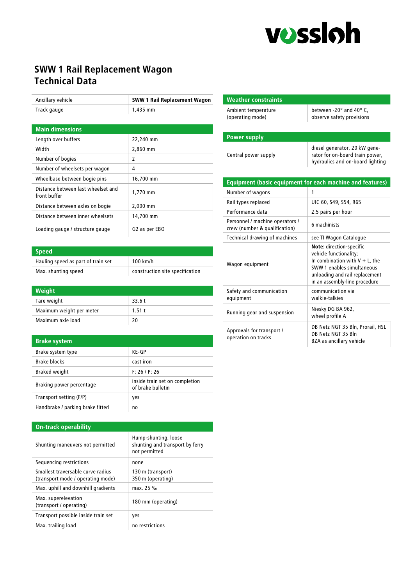

### **SWW 1 Rail Replacement Wagon Technical Data**

| Ancillary vehicle                                  | <b>SWW 1 Rail Replacement Wagon</b> |
|----------------------------------------------------|-------------------------------------|
| Track gauge                                        | 1,435 mm                            |
|                                                    |                                     |
| <b>Main dimensions</b>                             |                                     |
| Length over buffers                                | 22,240 mm                           |
| Width                                              | 2,860 mm                            |
| Number of bogies                                   | 2                                   |
| Number of wheelsets per wagon                      | 4                                   |
| Wheelbase between bogie pins                       | 16,700 mm                           |
| Distance between last wheelset and<br>front buffer | 1,770 mm                            |
| Distance between axles on bogie                    | 2,000 mm                            |
| Distance between inner wheelsets                   | 14,700 mm                           |
| Loading gauge / structure gauge                    | G2 as per EBO                       |

| <b>Speed</b>                       |                                 |
|------------------------------------|---------------------------------|
| Hauling speed as part of train set | $100$ km/h                      |
| Max. shunting speed                | construction site specification |

| Weight                   |       |
|--------------------------|-------|
| Tare weight              | 33.6t |
| Maximum weight per meter | 1.51t |
| Maximum axle load        | 20    |

#### **Brake system**

| Brake system type                | $KF-GP$                                             |
|----------------------------------|-----------------------------------------------------|
| Brake blocks                     | cast iron                                           |
| <b>Braked weight</b>             | F: 26/P: 26                                         |
| Braking power percentage         | inside train set on completion<br>of brake bulletin |
| Transport setting (F/P)          | yes                                                 |
| Handbrake / parking brake fitted | no                                                  |

#### **On-track operability**

| Shunting maneuvers not permitted                                       | Hump-shunting, loose<br>shunting and transport by ferry<br>not permitted |
|------------------------------------------------------------------------|--------------------------------------------------------------------------|
| Sequencing restrictions                                                | none                                                                     |
| Smallest traversable curve radius<br>(transport mode / operating mode) | 130 m (transport)<br>350 m (operating)                                   |
| Max. uphill and downhill gradients                                     | max. 25 ‰                                                                |
| Max. superelevation<br>(transport / operating)                         | 180 mm (operating)                                                       |
| Transport possible inside train set                                    | ves                                                                      |
| Max. trailing load                                                     | no restrictions                                                          |

| <b>Weather constraints</b>                                       |                                                                                                                                                                                          |
|------------------------------------------------------------------|------------------------------------------------------------------------------------------------------------------------------------------------------------------------------------------|
| Ambient temperature<br>(operating mode)                          | between -20° and 40° C,<br>observe safety provisions                                                                                                                                     |
| <b>Power supply</b>                                              |                                                                                                                                                                                          |
| Central power supply                                             | diesel generator, 20 kW gene-<br>rator for on-board train power,<br>hydraulics and on-board lighting                                                                                     |
| <b>Equipment (basic equipment for each machine and features)</b> |                                                                                                                                                                                          |
| Number of wagons                                                 | 1                                                                                                                                                                                        |
| Rail types replaced                                              | UIC 60, S49, S54, R65                                                                                                                                                                    |
| Performance data                                                 | 2.5 pairs per hour                                                                                                                                                                       |
| Personnel / machine operators /<br>crew (number & qualification) | 6 machinists                                                                                                                                                                             |
| Technical drawing of machines                                    | see TI Wagon Catalogue                                                                                                                                                                   |
| Wagon equipment                                                  | Note: direction-specific<br>vehicle functionality;<br>In combination with $V + L$ , the<br>SWW 1 enables simultaneous<br>unloading and rail replacement<br>in an assembly-line procedure |
| Safety and communication<br>equipment                            | communication via<br>walkie-talkies                                                                                                                                                      |
| Running gear and suspension                                      | Niesky DG BA 962,<br>wheel profile A                                                                                                                                                     |
| Approvals for transport /<br>operation on tracks                 | DB Netz NGT 35 Bln, Prorail, HSL<br>DB Netz NGT 35 Bln<br><b>BZA as ancillary vehicle</b>                                                                                                |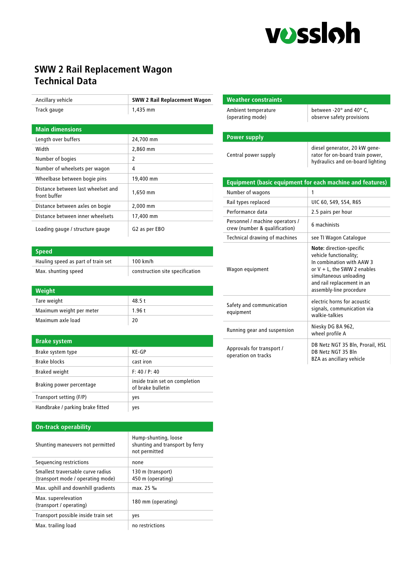

## **SWW 2 Rail Replacement Wagon Technical Data**

| Ancillary vehicle                                  | <b>SWW 2 Rail Replacement Wagon</b> |
|----------------------------------------------------|-------------------------------------|
| Track gauge                                        | 1,435 mm                            |
|                                                    |                                     |
| <b>Main dimensions</b>                             |                                     |
| Length over buffers                                | 24,700 mm                           |
| Width                                              | 2,860 mm                            |
| Number of bogies                                   | 2                                   |
| Number of wheelsets per wagon                      | 4                                   |
| Wheelbase between bogie pins                       | 19,400 mm                           |
| Distance between last wheelset and<br>front buffer | 1,650 mm                            |
| Distance between axles on bogie                    | 2,000 mm                            |
| Distance between inner wheelsets                   | 17,400 mm                           |
| Loading gauge / structure gauge                    | G2 as per EBO                       |

| <b>Speed</b>                       |                                 |
|------------------------------------|---------------------------------|
| Hauling speed as part of train set | $100$ km/h                      |
| Max. shunting speed                | construction site specification |

|--|

| Tare weight              | 48.5t |
|--------------------------|-------|
| Maximum weight per meter | 1.96t |
| Maximum axle load        | 20    |

#### **Brake system**

| Brake system type                | KE-GP                                               |
|----------------------------------|-----------------------------------------------------|
| Brake blocks                     | cast iron                                           |
| <b>Braked weight</b>             | F: 40 / P: 40                                       |
| Braking power percentage         | inside train set on completion<br>of brake bulletin |
| Transport setting (F/P)          | yes                                                 |
| Handbrake / parking brake fitted | yes                                                 |

#### **On-track operability**

| Shunting maneuvers not permitted                                       | Hump-shunting, loose<br>shunting and transport by ferry<br>not permitted |
|------------------------------------------------------------------------|--------------------------------------------------------------------------|
| Sequencing restrictions                                                | none                                                                     |
| Smallest traversable curve radius<br>(transport mode / operating mode) | 130 m (transport)<br>450 m (operating)                                   |
| Max. uphill and downhill gradients                                     | max. 25 ‰                                                                |
| Max. superelevation<br>(transport / operating)                         | 180 mm (operating)                                                       |
| Transport possible inside train set                                    | yes                                                                      |
| Max. trailing load                                                     | no restrictions                                                          |

| <b>Weather constraints</b>                                       |                                                                                                                                                                                                      |
|------------------------------------------------------------------|------------------------------------------------------------------------------------------------------------------------------------------------------------------------------------------------------|
| Ambient temperature<br>(operating mode)                          | between -20° and 40° C.<br>observe safety provisions                                                                                                                                                 |
|                                                                  |                                                                                                                                                                                                      |
| <b>Power supply</b>                                              |                                                                                                                                                                                                      |
| Central power supply                                             | diesel generator, 20 kW gene-<br>rator for on-board train power,<br>hydraulics and on-board lighting                                                                                                 |
| <b>Equipment (basic equipment for each machine and features)</b> |                                                                                                                                                                                                      |
| Number of wagons                                                 | 1                                                                                                                                                                                                    |
| Rail types replaced                                              | UIC 60, S49, S54, R65                                                                                                                                                                                |
| Performance data                                                 | 2.5 pairs per hour                                                                                                                                                                                   |
| Personnel / machine operators /<br>crew (number & qualification) | 6 machinists                                                                                                                                                                                         |
| Technical drawing of machines                                    | see TI Wagon Catalogue                                                                                                                                                                               |
| Wagon equipment                                                  | Note: direction-specific<br>vehicle functionality;<br>In combination with AAW 3<br>or $V + L$ , the SWW 2 enables<br>simultaneous unloading<br>and rail replacement in an<br>assembly-line procedure |
| Safety and communication<br>equipment                            | electric horns for acoustic<br>signals, communication via<br>walkie-talkies                                                                                                                          |
| Running gear and suspension                                      | Niesky DG BA 962,<br>wheel profile A                                                                                                                                                                 |
| Approvals for transport /<br>operation on tracks                 | DB Netz NGT 35 Bln, Prorail, HSL<br>DB Netz NGT 35 Bln<br><b>BZA as ancillary vehicle</b>                                                                                                            |